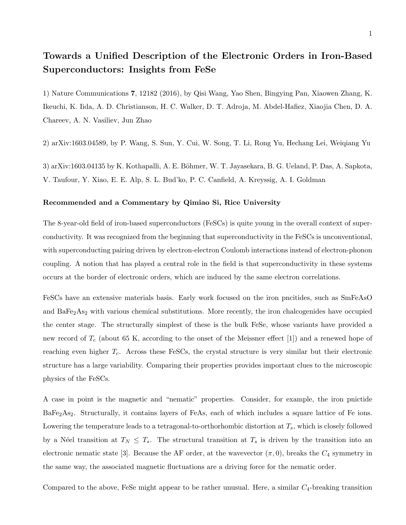## Towards a Unified Description of the Electronic Orders in Iron-Based Superconductors: Insights from FeSe

1) Nature Communications 7, 12182 (2016), by Qisi Wang, Yao Shen, Bingying Pan, Xiaowen Zhang, K. Ikeuchi, K. Iida, A. D. Christianson, H. C. Walker, D. T. Adroja, M. Abdel-Hafiez, Xiaojia Chen, D. A. Chareev, A. N. Vasiliev, Jun Zhao

2) arXiv:1603.04589, by P. Wang, S. Sun, Y. Cui, W. Song, T. Li, Rong Yu, Hechang Lei, Weiqiang Yu

3) arXiv:1603.04135 by K. Kothapalli, A. E. Böhmer, W. T. Jayasekara, B. G. Ueland, P. Das, A. Sapkota, V. Taufour, Y. Xiao, E. E. Alp, S. L. Bud'ko, P. C. Canfield, A. Kreyssig, A. I. Goldman

## Recommended and a Commentary by Qimiao Si, Rice University

The 8-year-old field of iron-based superconductors (FeSCs) is quite young in the overall context of superconductivity. It was recognized from the beginning that superconductivity in the FeSCs is unconventional, with superconducting pairing driven by electron-electron Coulomb interactions instead of electron-phonon coupling. A notion that has played a central role in the field is that superconductivity in these systems occurs at the border of electronic orders, which are induced by the same electron correlations.

FeSCs have an extensive materials basis. Early work focused on the iron pncitides, such as SmFeAsO and BaFe2As<sup>2</sup> with various chemical substitutions. More recently, the iron chalcogenides have occupied the center stage. The structurally simplest of these is the bulk FeSe, whose variants have provided a new record of  $T_c$  (about 65 K, according to the onset of the Meissner effect [1]) and a renewed hope of reaching even higher *Tc*. Across these FeSCs, the crystal structure is very similar but their electronic structure has a large variability. Comparing their properties provides important clues to the microscopic physics of the FeSCs.

A case in point is the magnetic and "nematic" properties. Consider, for example, the iron pnictide BaFe2As2. Structurally, it contains layers of FeAs, each of which includes a square lattice of Fe ions. Lowering the temperature leads to a tetragonal-to-orthorhombic distortion at *Ts*, which is closely followed by a N'eel transition at  $T_N \leq T_s$ . The structural transition at  $T_s$  is driven by the transition into an electronic nematic state [3]. Because the AF order, at the wavevector  $(\pi, 0)$ , breaks the  $C_4$  symmetry in the same way, the associated magnetic fluctuations are a driving force for the nematic order.

Compared to the above, FeSe might appear to be rather unusual. Here, a similar *C*4-breaking transition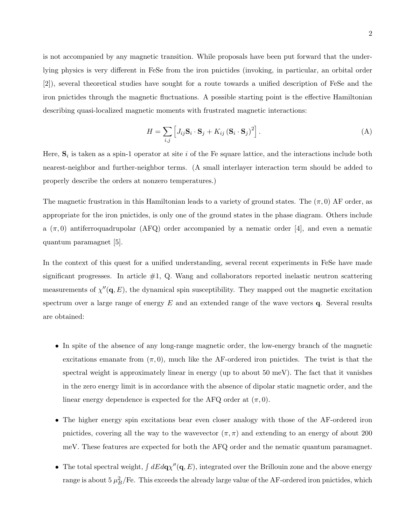is not accompanied by any magnetic transition. While proposals have been put forward that the underlying physics is very different in FeSe from the iron pnictides (invoking, in particular, an orbital order [2]), several theoretical studies have sought for a route towards a unified description of FeSe and the iron pnictides through the magnetic fluctuations. A possible starting point is the effective Hamiltonian describing quasi-localized magnetic moments with frustrated magnetic interactions:

$$
H = \sum_{i,j} \left[ J_{ij} \mathbf{S}_i \cdot \mathbf{S}_j + K_{ij} \left( \mathbf{S}_i \cdot \mathbf{S}_j \right)^2 \right]. \tag{A}
$$

Here,  $S_i$  is taken as a spin-1 operator at site *i* of the Fe square lattice, and the interactions include both nearest-neighbor and further-neighbor terms. (A small interlayer interaction term should be added to properly describe the orders at nonzero temperatures.)

The magnetic frustration in this Hamiltonian leads to a variety of ground states. The  $(\pi,0)$  AF order, as appropriate for the iron pnictides, is only one of the ground states in the phase diagram. Others include a  $(\pi,0)$  antiferroquadrupolar (AFQ) order accompanied by a nematic order [4], and even a nematic quantum paramagnet [5].

In the context of this quest for a unified understanding, several recent experiments in FeSe have made significant progresses. In article  $\#1$ , Q. Wang and collaborators reported inelastic neutron scattering measurements of  $\chi''(q, E)$ , the dynamical spin susceptibility. They mapped out the magnetic excitation spectrum over a large range of energy *E* and an extended range of the wave vectors q. Several results are obtained:

- In spite of the absence of any long-range magnetic order, the low-energy branch of the magnetic excitations emanate from  $(\pi, 0)$ , much like the AF-ordered iron pnictides. The twist is that the spectral weight is approximately linear in energy (up to about 50 meV). The fact that it vanishes in the zero energy limit is in accordance with the absence of dipolar static magnetic order, and the linear energy dependence is expected for the AFQ order at  $(\pi, 0)$ .
- The higher energy spin excitations bear even closer analogy with those of the AF-ordered iron pnictides, covering all the way to the wavevector  $(\pi, \pi)$  and extending to an energy of about 200 meV. These features are expected for both the AFQ order and the nematic quantum paramagnet.
- The total spectral weight,  $\int dEdq\chi''(\mathbf{q}, E)$ , integrated over the Brillouin zone and the above energy range is about  $5 \mu_B^2$ /Fe. This exceeds the already large value of the AF-ordered iron pnictides, which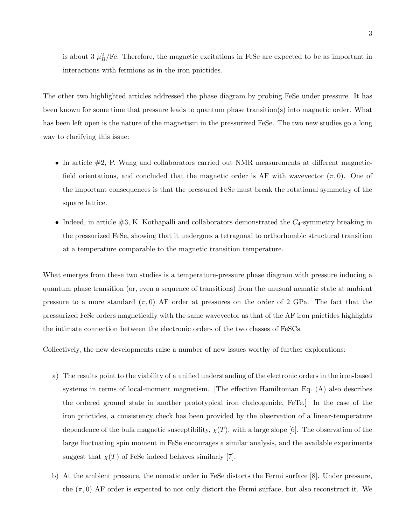is about 3  $\mu_B^2$ /Fe. Therefore, the magnetic excitations in FeSe are expected to be as important in interactions with fermions as in the iron pnictides.

The other two highlighted articles addressed the phase diagram by probing FeSe under pressure. It has been known for some time that pressure leads to quantum phase transition(s) into magnetic order. What has been left open is the nature of the magnetism in the pressurized FeSe. The two new studies go a long way to clarifying this issue:

- In article  $#2$ , P. Wang and collaborators carried out NMR measurements at different magneticfield orientations, and concluded that the magnetic order is AF with wavevector  $(\pi, 0)$ . One of the important consequences is that the pressured FeSe must break the rotational symmetry of the square lattice.
- Indeed, in article #3, K. Kothapalli and collaborators demonstrated the  $C_4$ -symmetry breaking in the pressurized FeSe, showing that it undergoes a tetragonal to orthorhombic structural transition at a temperature comparable to the magnetic transition temperature.

What emerges from these two studies is a temperature-pressure phase diagram with pressure inducing a quantum phase transition (or, even a sequence of transitions) from the unusual nematic state at ambient pressure to a more standard  $(\pi,0)$  AF order at pressures on the order of 2 GPa. The fact that the pressurized FeSe orders magnetically with the same wavevector as that of the AF iron pnictides highlights the intimate connection between the electronic orders of the two classes of FeSCs.

Collectively, the new developments raise a number of new issues worthy of further explorations:

- a) The results point to the viability of a unified understanding of the electronic orders in the iron-based systems in terms of local-moment magnetism. [The effective Hamiltonian Eq.  $(A)$  also describes the ordered ground state in another prototypical iron chalcogenide, FeTe.] In the case of the iron pnictides, a consistency check has been provided by the observation of a linear-temperature dependence of the bulk magnetic susceptibility,  $\chi(T)$ , with a large slope [6]. The observation of the large fluctuating spin moment in FeSe encourages a similar analysis, and the available experiments suggest that  $\chi(T)$  of FeSe indeed behaves similarly [7].
- b) At the ambient pressure, the nematic order in FeSe distorts the Fermi surface [8]. Under pressure, the  $(\pi,0)$  AF order is expected to not only distort the Fermi surface, but also reconstruct it. We